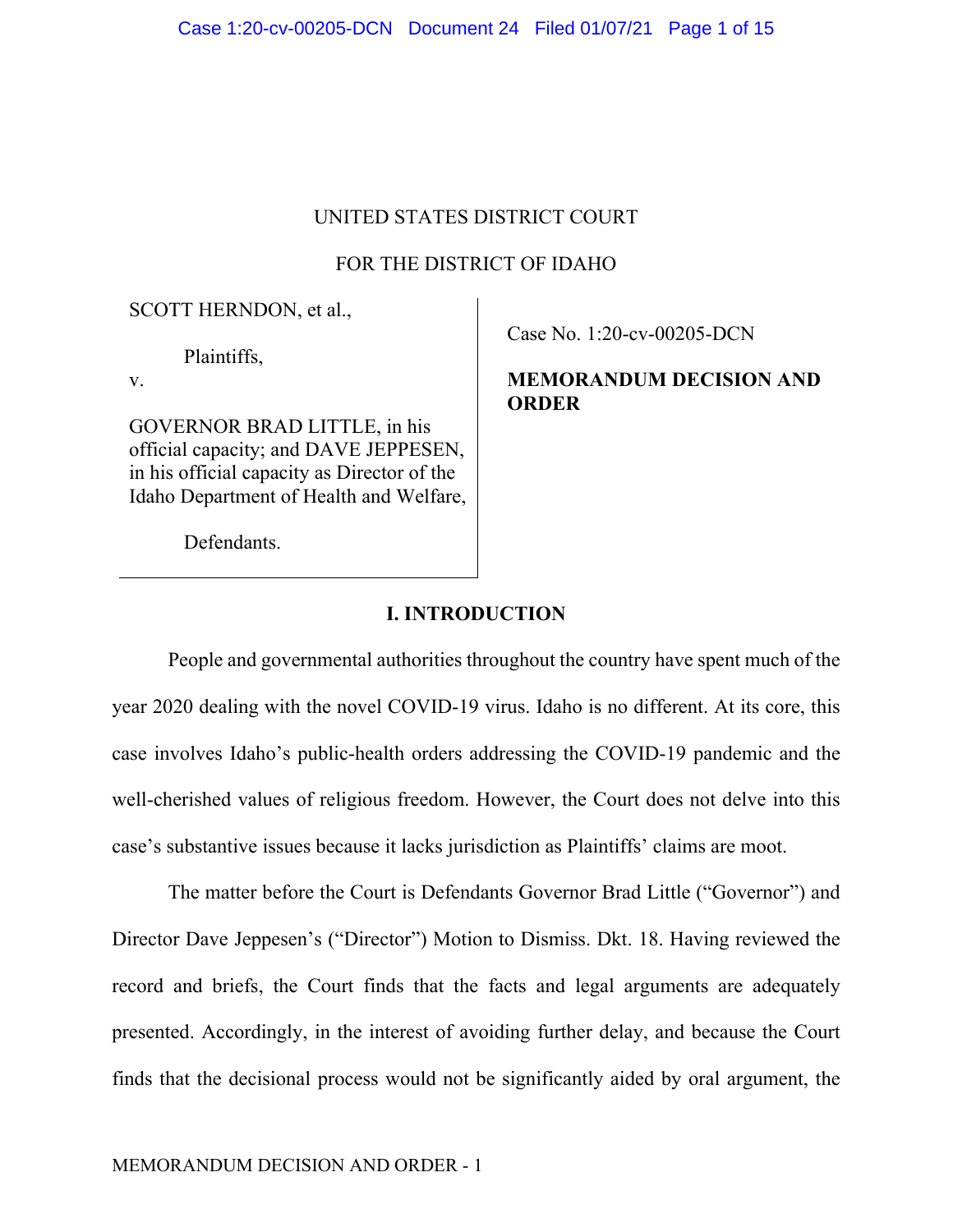# UNITED STATES DISTRICT COURT

# FOR THE DISTRICT OF IDAHO

SCOTT HERNDON, et al.,

Plaintiffs,

v.

GOVERNOR BRAD LITTLE, in his official capacity; and DAVE JEPPESEN, in his official capacity as Director of the Idaho Department of Health and Welfare, Case No. 1:20-cv-00205-DCN

# **MEMORANDUM DECISION AND ORDER**

Defendants.

# **I. INTRODUCTION**

People and governmental authorities throughout the country have spent much of the year 2020 dealing with the novel COVID-19 virus. Idaho is no different. At its core, this case involves Idaho's public-health orders addressing the COVID-19 pandemic and the well-cherished values of religious freedom. However, the Court does not delve into this case's substantive issues because it lacks jurisdiction as Plaintiffs' claims are moot.

The matter before the Court is Defendants Governor Brad Little ("Governor") and Director Dave Jeppesen's ("Director") Motion to Dismiss. Dkt. 18. Having reviewed the record and briefs, the Court finds that the facts and legal arguments are adequately presented. Accordingly, in the interest of avoiding further delay, and because the Court finds that the decisional process would not be significantly aided by oral argument, the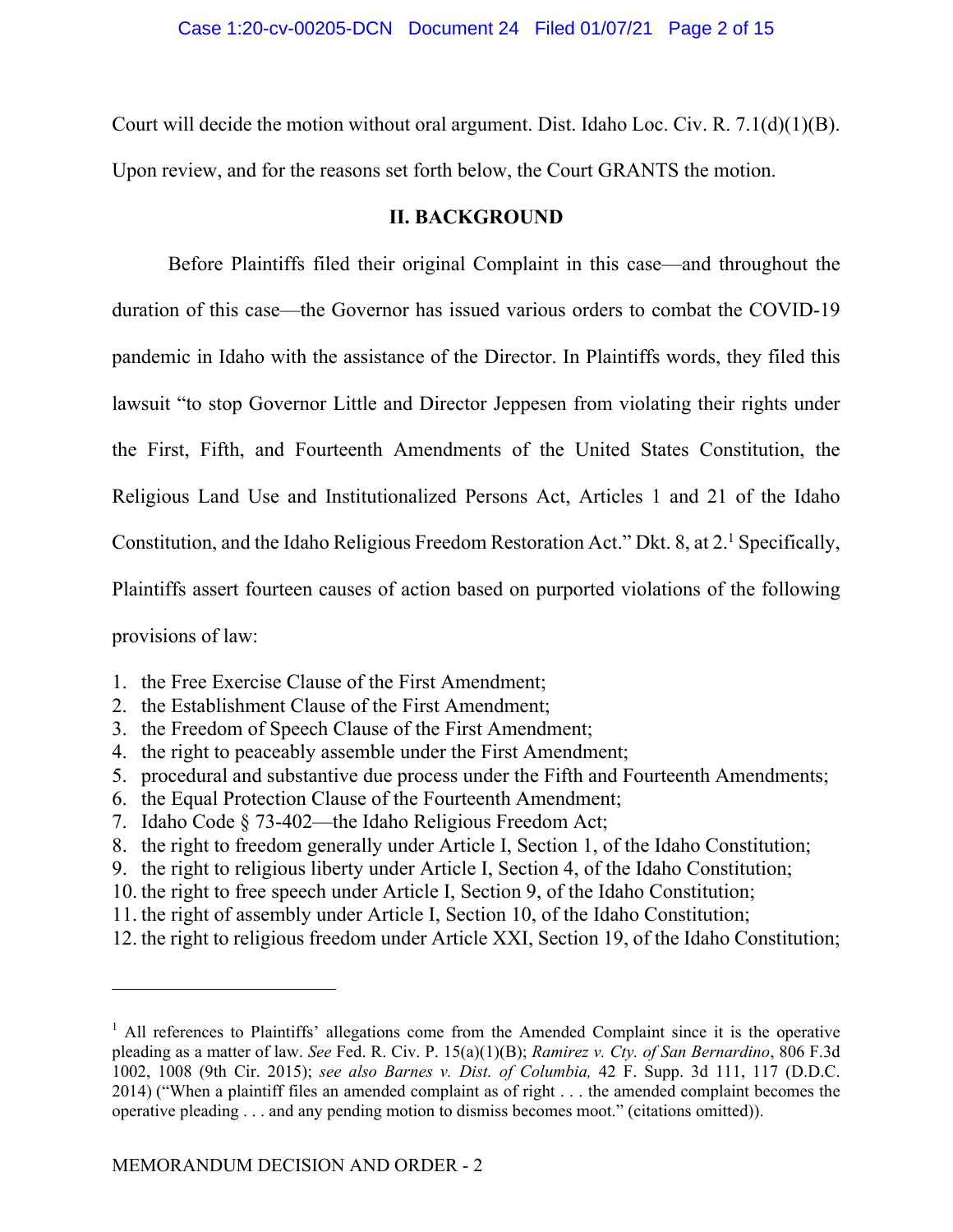Court will decide the motion without oral argument. Dist. Idaho Loc. Civ. R. 7.1(d)(1)(B).

Upon review, and for the reasons set forth below, the Court GRANTS the motion.

# **II. BACKGROUND**

Before Plaintiffs filed their original Complaint in this case—and throughout the duration of this case—the Governor has issued various orders to combat the COVID-19 pandemic in Idaho with the assistance of the Director. In Plaintiffs words, they filed this lawsuit "to stop Governor Little and Director Jeppesen from violating their rights under the First, Fifth, and Fourteenth Amendments of the United States Constitution, the Religious Land Use and Institutionalized Persons Act, Articles 1 and 21 of the Idaho Constitution, and the Idaho Religious Freedom Restoration Act." Dkt. 8, at 2.<sup>1</sup> Specifically, Plaintiffs assert fourteen causes of action based on purported violations of the following provisions of law:

- 1. the Free Exercise Clause of the First Amendment;
- 2. the Establishment Clause of the First Amendment;
- 3. the Freedom of Speech Clause of the First Amendment;
- 4. the right to peaceably assemble under the First Amendment;
- 5. procedural and substantive due process under the Fifth and Fourteenth Amendments;
- 6. the Equal Protection Clause of the Fourteenth Amendment;
- 7. Idaho Code § 73-402—the Idaho Religious Freedom Act;
- 8. the right to freedom generally under Article I, Section 1, of the Idaho Constitution;
- 9. the right to religious liberty under Article I, Section 4, of the Idaho Constitution;
- 10. the right to free speech under Article I, Section 9, of the Idaho Constitution;
- 11. the right of assembly under Article I, Section 10, of the Idaho Constitution;
- 12. the right to religious freedom under Article XXI, Section 19, of the Idaho Constitution;

<sup>&</sup>lt;sup>1</sup> All references to Plaintiffs' allegations come from the Amended Complaint since it is the operative pleading as a matter of law. *See* Fed. R. Civ. P. 15(a)(1)(B); *Ramirez v. Cty. of San Bernardino*, 806 F.3d 1002, 1008 (9th Cir. 2015); *see also Barnes v. Dist. of Columbia,* 42 F. Supp. 3d 111, 117 (D.D.C. 2014) ("When a plaintiff files an amended complaint as of right . . . the amended complaint becomes the operative pleading . . . and any pending motion to dismiss becomes moot." (citations omitted)).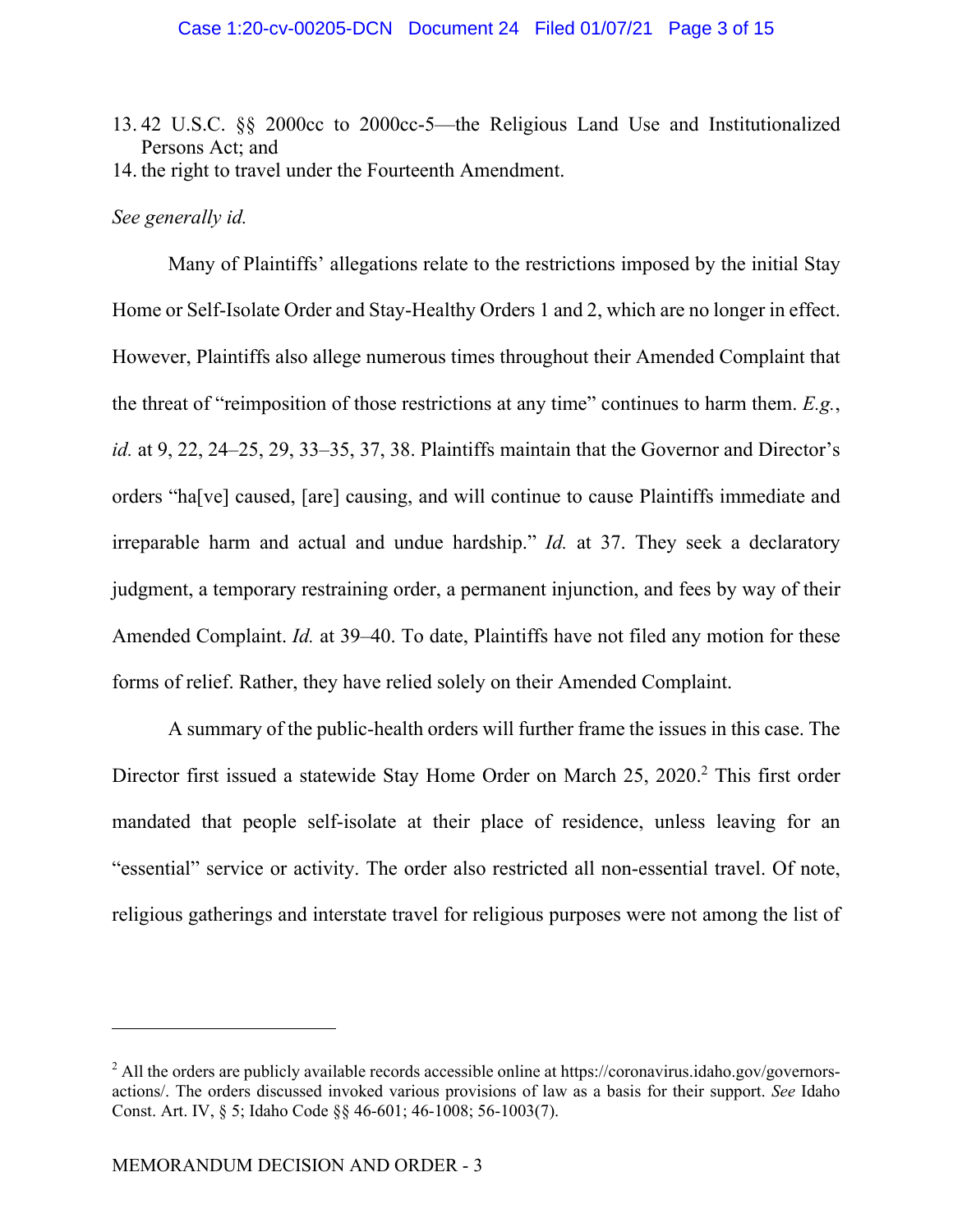13. 42 U.S.C. §§ 2000cc to 2000cc-5—the Religious Land Use and Institutionalized Persons Act; and 14. the right to travel under the Fourteenth Amendment.

## *See generally id.*

Many of Plaintiffs' allegations relate to the restrictions imposed by the initial Stay Home or Self-Isolate Order and Stay-Healthy Orders 1 and 2, which are no longer in effect. However, Plaintiffs also allege numerous times throughout their Amended Complaint that the threat of "reimposition of those restrictions at any time" continues to harm them. *E.g.*, *id.* at 9, 22, 24–25, 29, 33–35, 37, 38. Plaintiffs maintain that the Governor and Director's orders "ha[ve] caused, [are] causing, and will continue to cause Plaintiffs immediate and irreparable harm and actual and undue hardship." *Id.* at 37. They seek a declaratory judgment, a temporary restraining order, a permanent injunction, and fees by way of their Amended Complaint. *Id.* at 39–40. To date, Plaintiffs have not filed any motion for these forms of relief. Rather, they have relied solely on their Amended Complaint.

A summary of the public-health orders will further frame the issues in this case. The Director first issued a statewide Stay Home Order on March 25, 2020.<sup>2</sup> This first order mandated that people self-isolate at their place of residence, unless leaving for an "essential" service or activity. The order also restricted all non-essential travel. Of note, religious gatherings and interstate travel for religious purposes were not among the list of

 $2$  All the orders are publicly available records accessible online at https://coronavirus.idaho.gov/governorsactions/. The orders discussed invoked various provisions of law as a basis for their support. *See* Idaho Const. Art. IV, § 5; Idaho Code §§ 46-601; 46-1008; 56-1003(7).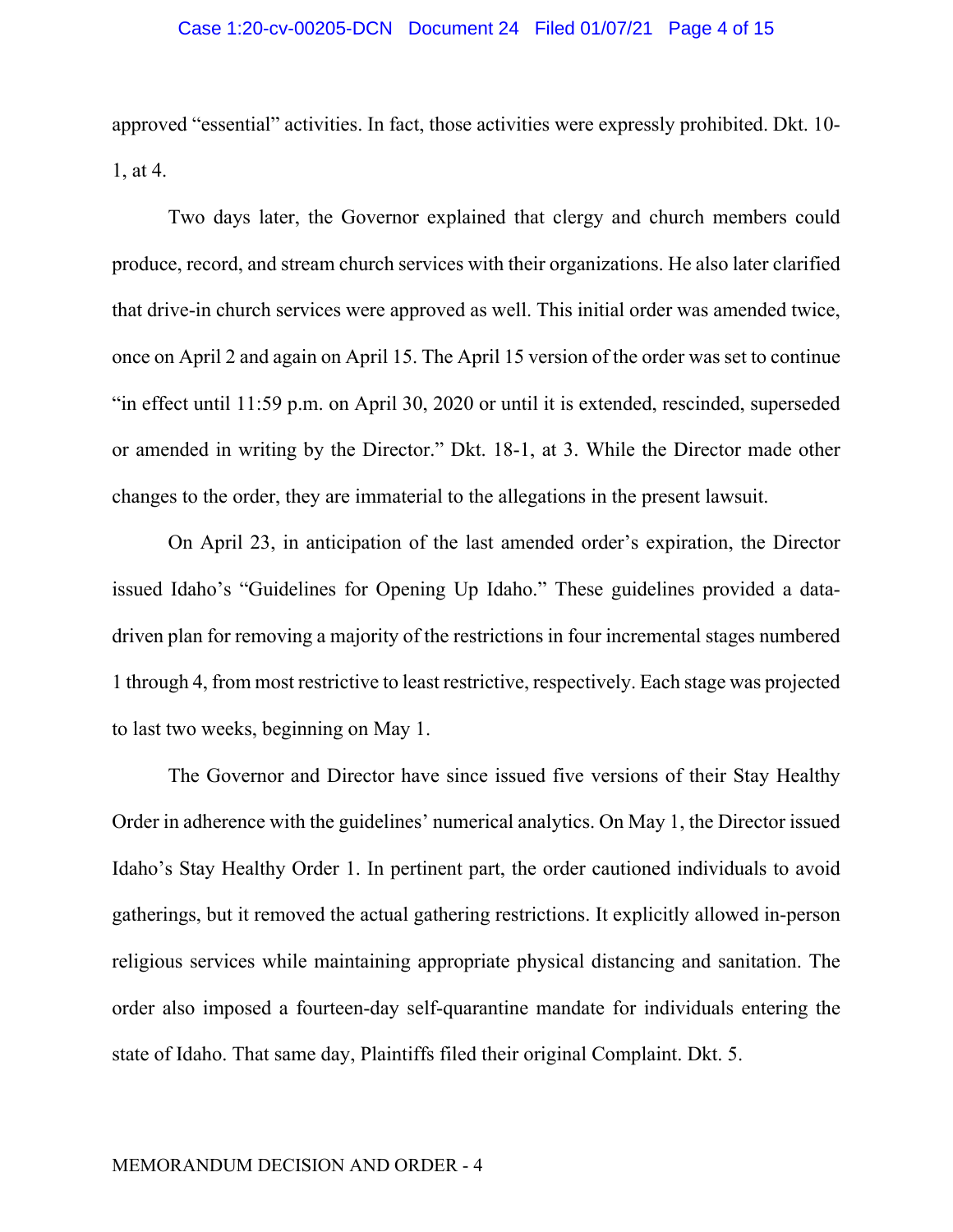### Case 1:20-cv-00205-DCN Document 24 Filed 01/07/21 Page 4 of 15

approved "essential" activities. In fact, those activities were expressly prohibited. Dkt. 10- 1, at 4.

Two days later, the Governor explained that clergy and church members could produce, record, and stream church services with their organizations. He also later clarified that drive-in church services were approved as well. This initial order was amended twice, once on April 2 and again on April 15. The April 15 version of the order was set to continue "in effect until 11:59 p.m. on April 30, 2020 or until it is extended, rescinded, superseded or amended in writing by the Director." Dkt. 18-1, at 3. While the Director made other changes to the order, they are immaterial to the allegations in the present lawsuit.

On April 23, in anticipation of the last amended order's expiration, the Director issued Idaho's "Guidelines for Opening Up Idaho." These guidelines provided a datadriven plan for removing a majority of the restrictions in four incremental stages numbered 1 through 4, from most restrictive to least restrictive, respectively. Each stage was projected to last two weeks, beginning on May 1.

The Governor and Director have since issued five versions of their Stay Healthy Order in adherence with the guidelines' numerical analytics. On May 1, the Director issued Idaho's Stay Healthy Order 1. In pertinent part, the order cautioned individuals to avoid gatherings, but it removed the actual gathering restrictions. It explicitly allowed in-person religious services while maintaining appropriate physical distancing and sanitation. The order also imposed a fourteen-day self-quarantine mandate for individuals entering the state of Idaho. That same day, Plaintiffs filed their original Complaint. Dkt. 5.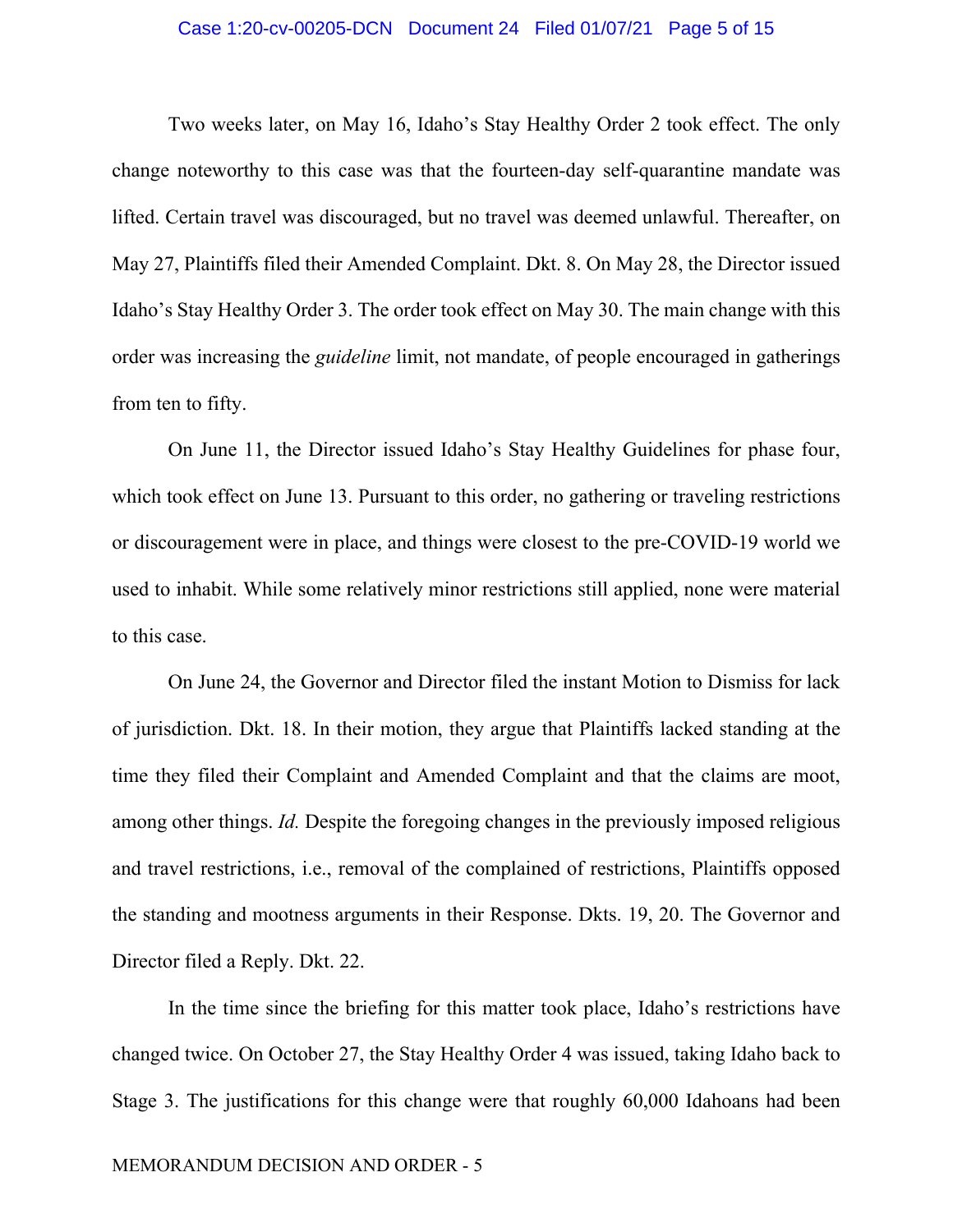#### Case 1:20-cv-00205-DCN Document 24 Filed 01/07/21 Page 5 of 15

Two weeks later, on May 16, Idaho's Stay Healthy Order 2 took effect. The only change noteworthy to this case was that the fourteen-day self-quarantine mandate was lifted. Certain travel was discouraged, but no travel was deemed unlawful. Thereafter, on May 27, Plaintiffs filed their Amended Complaint. Dkt. 8. On May 28, the Director issued Idaho's Stay Healthy Order 3. The order took effect on May 30. The main change with this order was increasing the *guideline* limit, not mandate, of people encouraged in gatherings from ten to fifty.

On June 11, the Director issued Idaho's Stay Healthy Guidelines for phase four, which took effect on June 13. Pursuant to this order, no gathering or traveling restrictions or discouragement were in place, and things were closest to the pre-COVID-19 world we used to inhabit. While some relatively minor restrictions still applied, none were material to this case.

On June 24, the Governor and Director filed the instant Motion to Dismiss for lack of jurisdiction. Dkt. 18. In their motion, they argue that Plaintiffs lacked standing at the time they filed their Complaint and Amended Complaint and that the claims are moot, among other things. *Id.* Despite the foregoing changes in the previously imposed religious and travel restrictions, i.e., removal of the complained of restrictions, Plaintiffs opposed the standing and mootness arguments in their Response. Dkts. 19, 20. The Governor and Director filed a Reply. Dkt. 22.

In the time since the briefing for this matter took place, Idaho's restrictions have changed twice. On October 27, the Stay Healthy Order 4 was issued, taking Idaho back to Stage 3. The justifications for this change were that roughly 60,000 Idahoans had been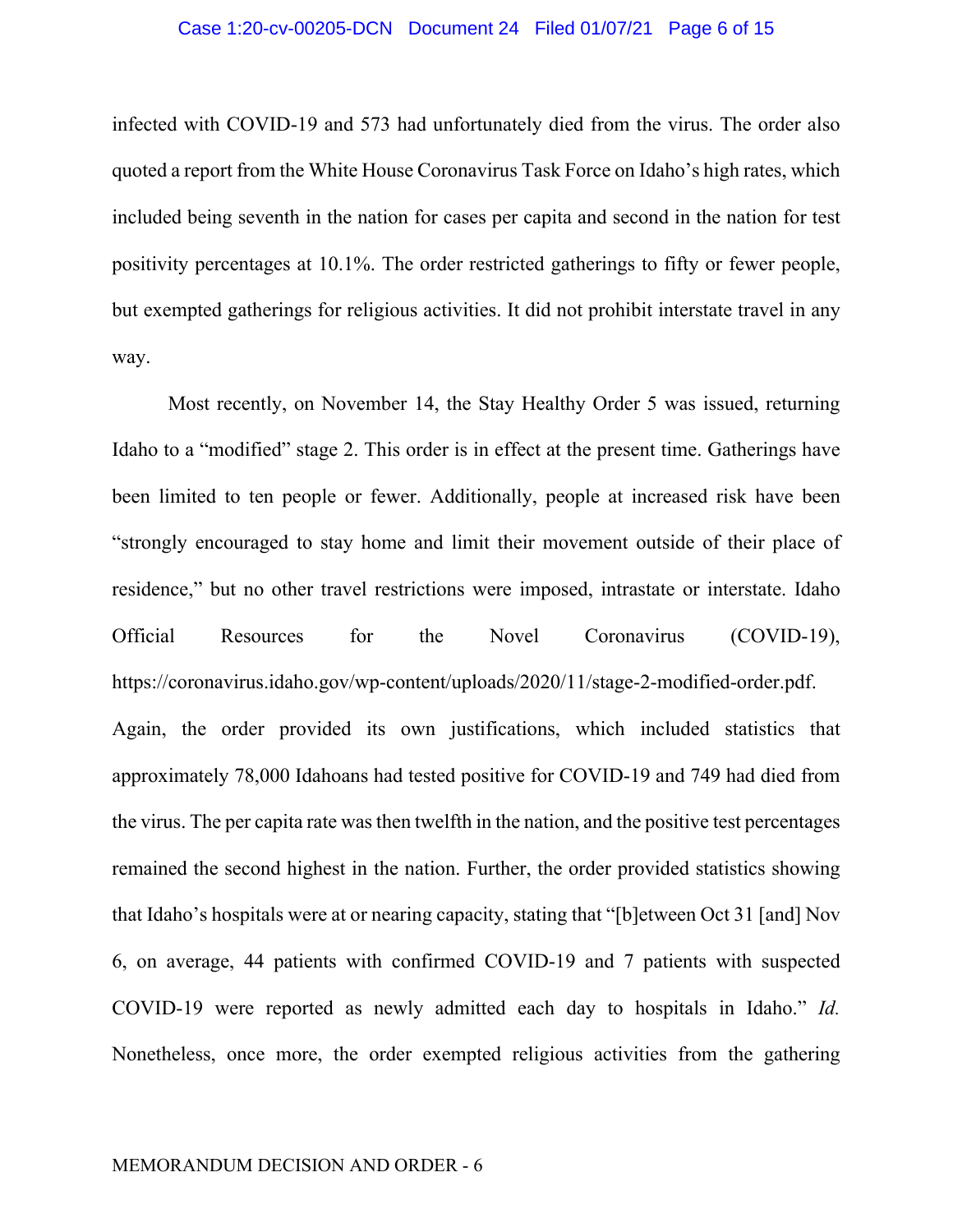#### Case 1:20-cv-00205-DCN Document 24 Filed 01/07/21 Page 6 of 15

infected with COVID-19 and 573 had unfortunately died from the virus. The order also quoted a report from the White House Coronavirus Task Force on Idaho's high rates, which included being seventh in the nation for cases per capita and second in the nation for test positivity percentages at 10.1%. The order restricted gatherings to fifty or fewer people, but exempted gatherings for religious activities. It did not prohibit interstate travel in any way.

Most recently, on November 14, the Stay Healthy Order 5 was issued, returning Idaho to a "modified" stage 2. This order is in effect at the present time. Gatherings have been limited to ten people or fewer. Additionally, people at increased risk have been "strongly encouraged to stay home and limit their movement outside of their place of residence," but no other travel restrictions were imposed, intrastate or interstate. Idaho Official Resources for the Novel Coronavirus (COVID-19), https://coronavirus.idaho.gov/wp-content/uploads/2020/11/stage-2-modified-order.pdf. Again, the order provided its own justifications, which included statistics that approximately 78,000 Idahoans had tested positive for COVID-19 and 749 had died from the virus. The per capita rate was then twelfth in the nation, and the positive test percentages remained the second highest in the nation. Further, the order provided statistics showing that Idaho's hospitals were at or nearing capacity, stating that "[b]etween Oct 31 [and] Nov 6, on average, 44 patients with confirmed COVID-19 and 7 patients with suspected COVID-19 were reported as newly admitted each day to hospitals in Idaho." *Id.*  Nonetheless, once more, the order exempted religious activities from the gathering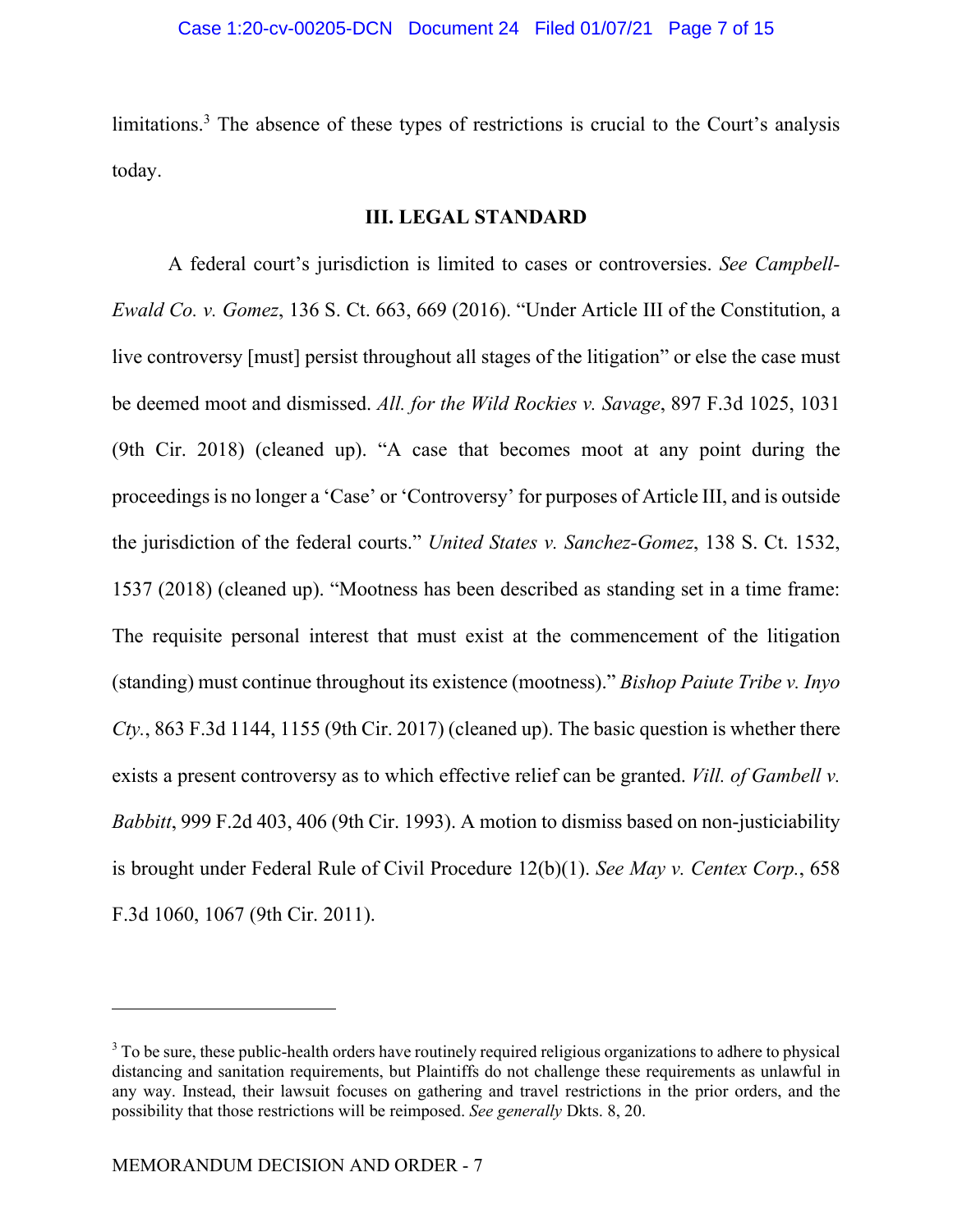limitations.<sup>3</sup> The absence of these types of restrictions is crucial to the Court's analysis today.

## **III. LEGAL STANDARD**

A federal court's jurisdiction is limited to cases or controversies. *See Campbell-Ewald Co. v. Gomez*, 136 S. Ct. 663, 669 (2016). "Under Article III of the Constitution, a live controversy [must] persist throughout all stages of the litigation" or else the case must be deemed moot and dismissed. *All. for the Wild Rockies v. Savage*, 897 F.3d 1025, 1031 (9th Cir. 2018) (cleaned up). "A case that becomes moot at any point during the proceedings is no longer a 'Case' or 'Controversy' for purposes of Article III, and is outside the jurisdiction of the federal courts." *United States v. Sanchez-Gomez*, 138 S. Ct. 1532, 1537 (2018) (cleaned up). "Mootness has been described as standing set in a time frame: The requisite personal interest that must exist at the commencement of the litigation (standing) must continue throughout its existence (mootness)." *Bishop Paiute Tribe v. Inyo Cty.*, 863 F.3d 1144, 1155 (9th Cir. 2017) (cleaned up). The basic question is whether there exists a present controversy as to which effective relief can be granted. *Vill. of Gambell v. Babbitt*, 999 F.2d 403, 406 (9th Cir. 1993). A motion to dismiss based on non-justiciability is brought under Federal Rule of Civil Procedure 12(b)(1). *See May v. Centex Corp.*, 658 F.3d 1060, 1067 (9th Cir. 2011).

 $3$  To be sure, these public-health orders have routinely required religious organizations to adhere to physical distancing and sanitation requirements, but Plaintiffs do not challenge these requirements as unlawful in any way. Instead, their lawsuit focuses on gathering and travel restrictions in the prior orders, and the possibility that those restrictions will be reimposed. *See generally* Dkts. 8, 20.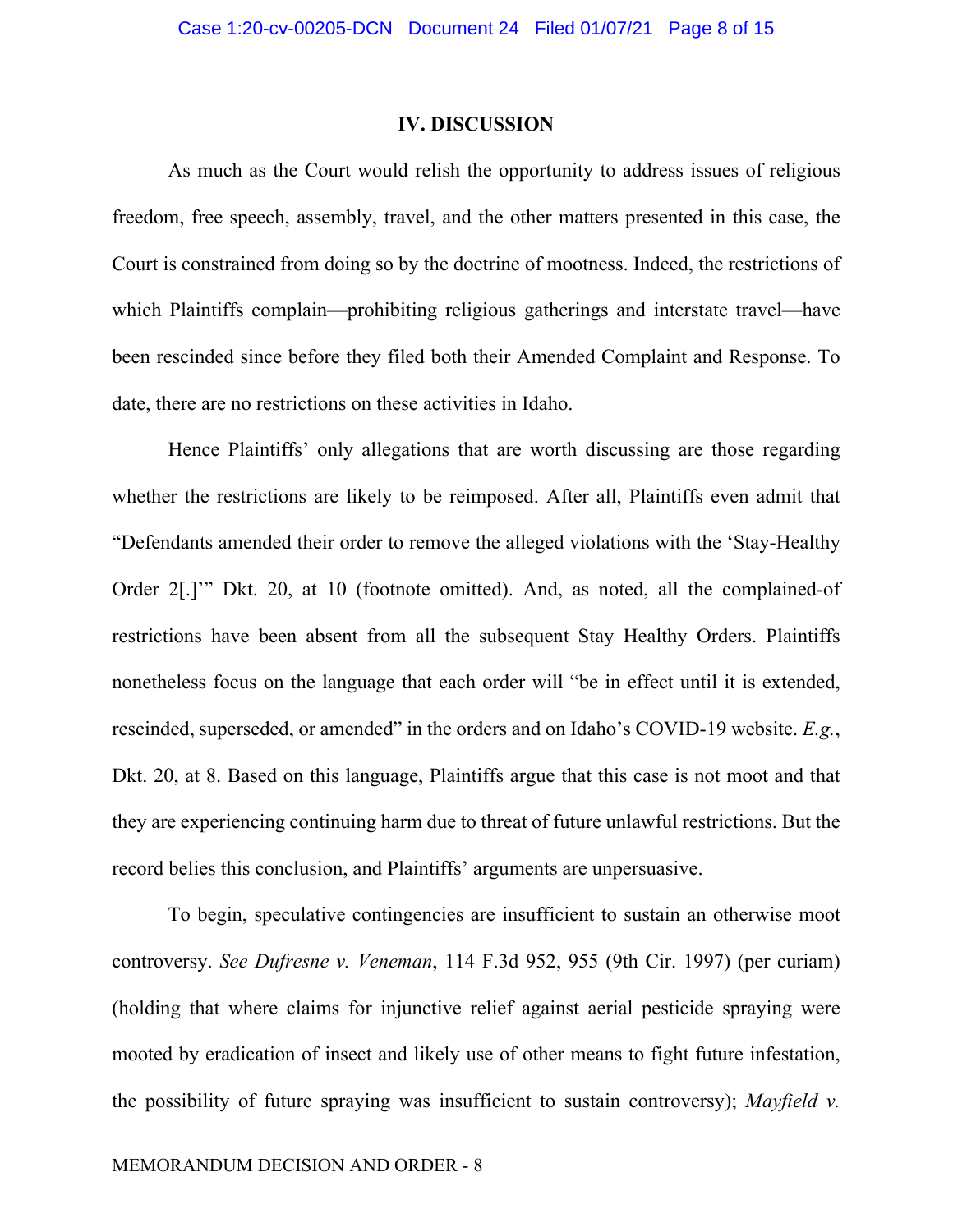## **IV. DISCUSSION**

As much as the Court would relish the opportunity to address issues of religious freedom, free speech, assembly, travel, and the other matters presented in this case, the Court is constrained from doing so by the doctrine of mootness. Indeed, the restrictions of which Plaintiffs complain—prohibiting religious gatherings and interstate travel—have been rescinded since before they filed both their Amended Complaint and Response. To date, there are no restrictions on these activities in Idaho.

Hence Plaintiffs' only allegations that are worth discussing are those regarding whether the restrictions are likely to be reimposed. After all, Plaintiffs even admit that "Defendants amended their order to remove the alleged violations with the 'Stay-Healthy Order 2[.]'" Dkt. 20, at 10 (footnote omitted). And, as noted, all the complained-of restrictions have been absent from all the subsequent Stay Healthy Orders. Plaintiffs nonetheless focus on the language that each order will "be in effect until it is extended, rescinded, superseded, or amended" in the orders and on Idaho's COVID-19 website. *E.g.*, Dkt. 20, at 8. Based on this language, Plaintiffs argue that this case is not moot and that they are experiencing continuing harm due to threat of future unlawful restrictions. But the record belies this conclusion, and Plaintiffs' arguments are unpersuasive.

To begin, speculative contingencies are insufficient to sustain an otherwise moot controversy. *See Dufresne v. Veneman*, 114 F.3d 952, 955 (9th Cir. 1997) (per curiam) (holding that where claims for injunctive relief against aerial pesticide spraying were mooted by eradication of insect and likely use of other means to fight future infestation, the possibility of future spraying was insufficient to sustain controversy); *Mayfield v.*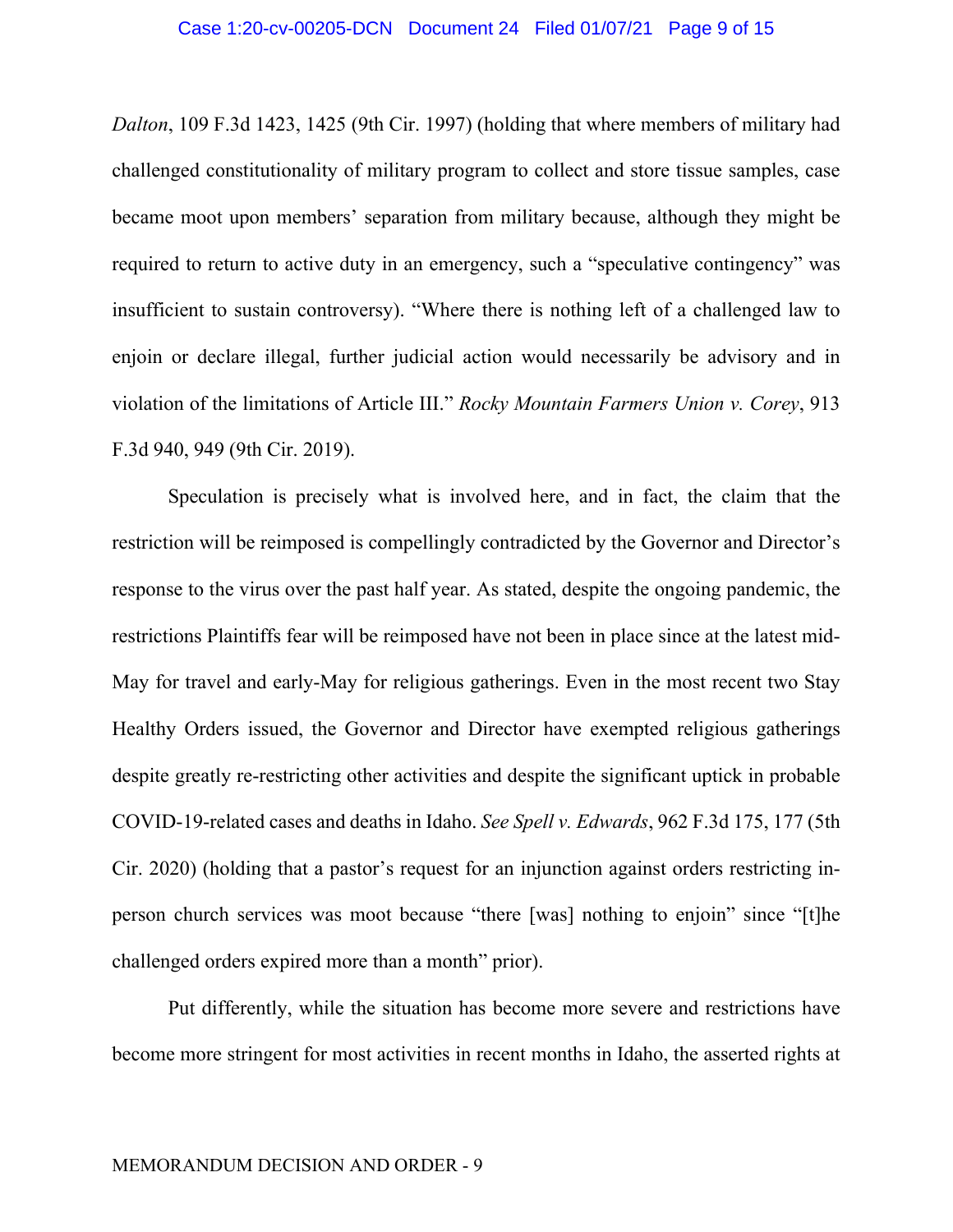*Dalton*, 109 F.3d 1423, 1425 (9th Cir. 1997) (holding that where members of military had challenged constitutionality of military program to collect and store tissue samples, case became moot upon members' separation from military because, although they might be required to return to active duty in an emergency, such a "speculative contingency" was insufficient to sustain controversy). "Where there is nothing left of a challenged law to enjoin or declare illegal, further judicial action would necessarily be advisory and in violation of the limitations of Article III." *Rocky Mountain Farmers Union v. Corey*, 913 F.3d 940, 949 (9th Cir. 2019).

Speculation is precisely what is involved here, and in fact, the claim that the restriction will be reimposed is compellingly contradicted by the Governor and Director's response to the virus over the past half year. As stated, despite the ongoing pandemic, the restrictions Plaintiffs fear will be reimposed have not been in place since at the latest mid-May for travel and early-May for religious gatherings. Even in the most recent two Stay Healthy Orders issued, the Governor and Director have exempted religious gatherings despite greatly re-restricting other activities and despite the significant uptick in probable COVID-19-related cases and deaths in Idaho. *See Spell v. Edwards*, 962 F.3d 175, 177 (5th Cir. 2020) (holding that a pastor's request for an injunction against orders restricting inperson church services was moot because "there [was] nothing to enjoin" since "[t]he challenged orders expired more than a month" prior).

Put differently, while the situation has become more severe and restrictions have become more stringent for most activities in recent months in Idaho, the asserted rights at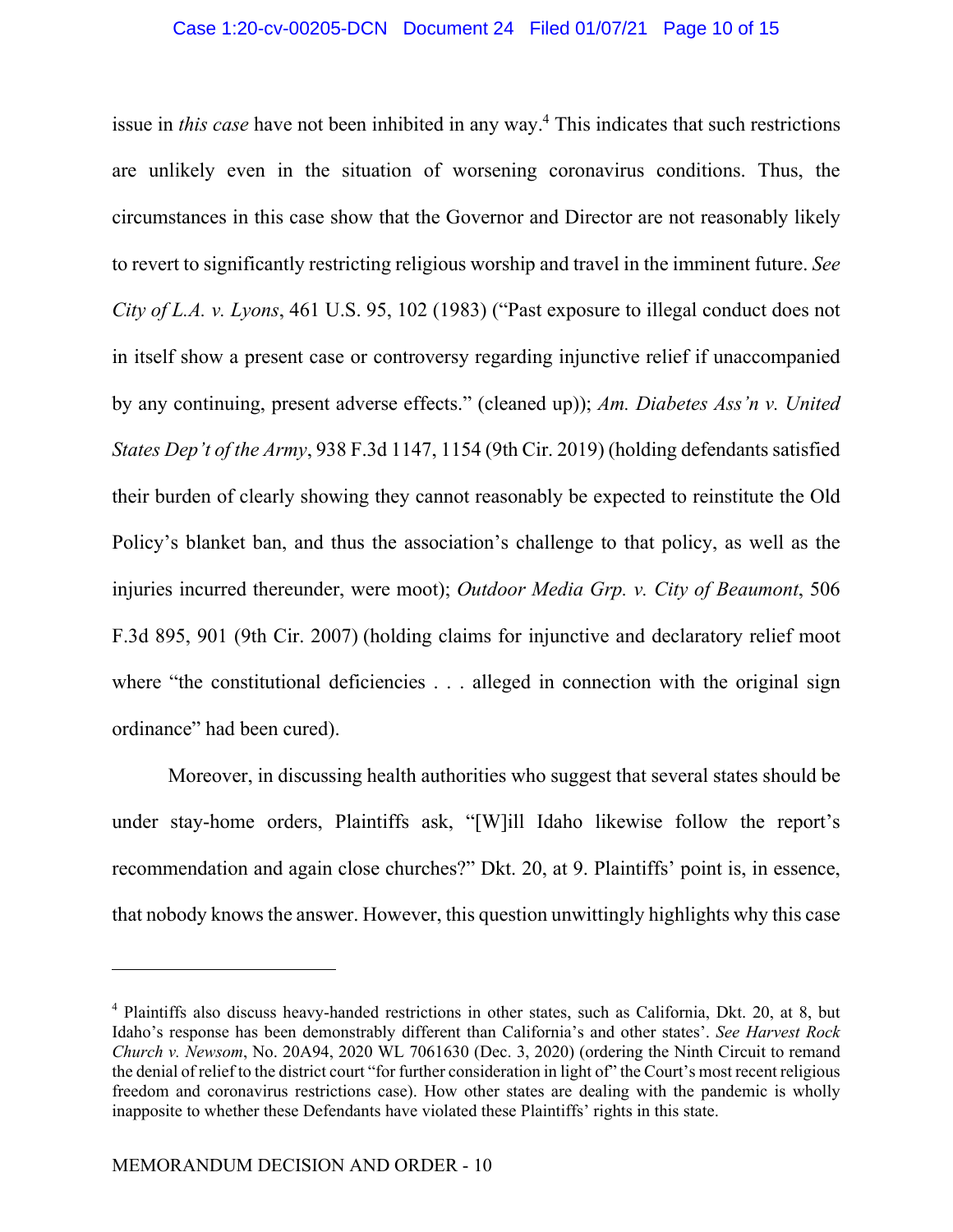## Case 1:20-cv-00205-DCN Document 24 Filed 01/07/21 Page 10 of 15

issue in *this case* have not been inhibited in any way.4 This indicates that such restrictions are unlikely even in the situation of worsening coronavirus conditions. Thus, the circumstances in this case show that the Governor and Director are not reasonably likely to revert to significantly restricting religious worship and travel in the imminent future. *See City of L.A. v. Lyons*, 461 U.S. 95, 102 (1983) ("Past exposure to illegal conduct does not in itself show a present case or controversy regarding injunctive relief if unaccompanied by any continuing, present adverse effects." (cleaned up)); *Am. Diabetes Ass'n v. United States Dep't of the Army*, 938 F.3d 1147, 1154 (9th Cir. 2019) (holding defendants satisfied their burden of clearly showing they cannot reasonably be expected to reinstitute the Old Policy's blanket ban, and thus the association's challenge to that policy, as well as the injuries incurred thereunder, were moot); *Outdoor Media Grp. v. City of Beaumont*, 506 F.3d 895, 901 (9th Cir. 2007) (holding claims for injunctive and declaratory relief moot where "the constitutional deficiencies . . . alleged in connection with the original sign ordinance" had been cured).

Moreover, in discussing health authorities who suggest that several states should be under stay-home orders, Plaintiffs ask, "[W]ill Idaho likewise follow the report's recommendation and again close churches?" Dkt. 20, at 9. Plaintiffs' point is, in essence, that nobody knows the answer. However, this question unwittingly highlights why this case

<sup>&</sup>lt;sup>4</sup> Plaintiffs also discuss heavy-handed restrictions in other states, such as California, Dkt. 20, at 8, but Idaho's response has been demonstrably different than California's and other states'. *See Harvest Rock Church v. Newsom*, No. 20A94, 2020 WL 7061630 (Dec. 3, 2020) (ordering the Ninth Circuit to remand the denial of relief to the district court "for further consideration in light of" the Court's most recent religious freedom and coronavirus restrictions case). How other states are dealing with the pandemic is wholly inapposite to whether these Defendants have violated these Plaintiffs' rights in this state.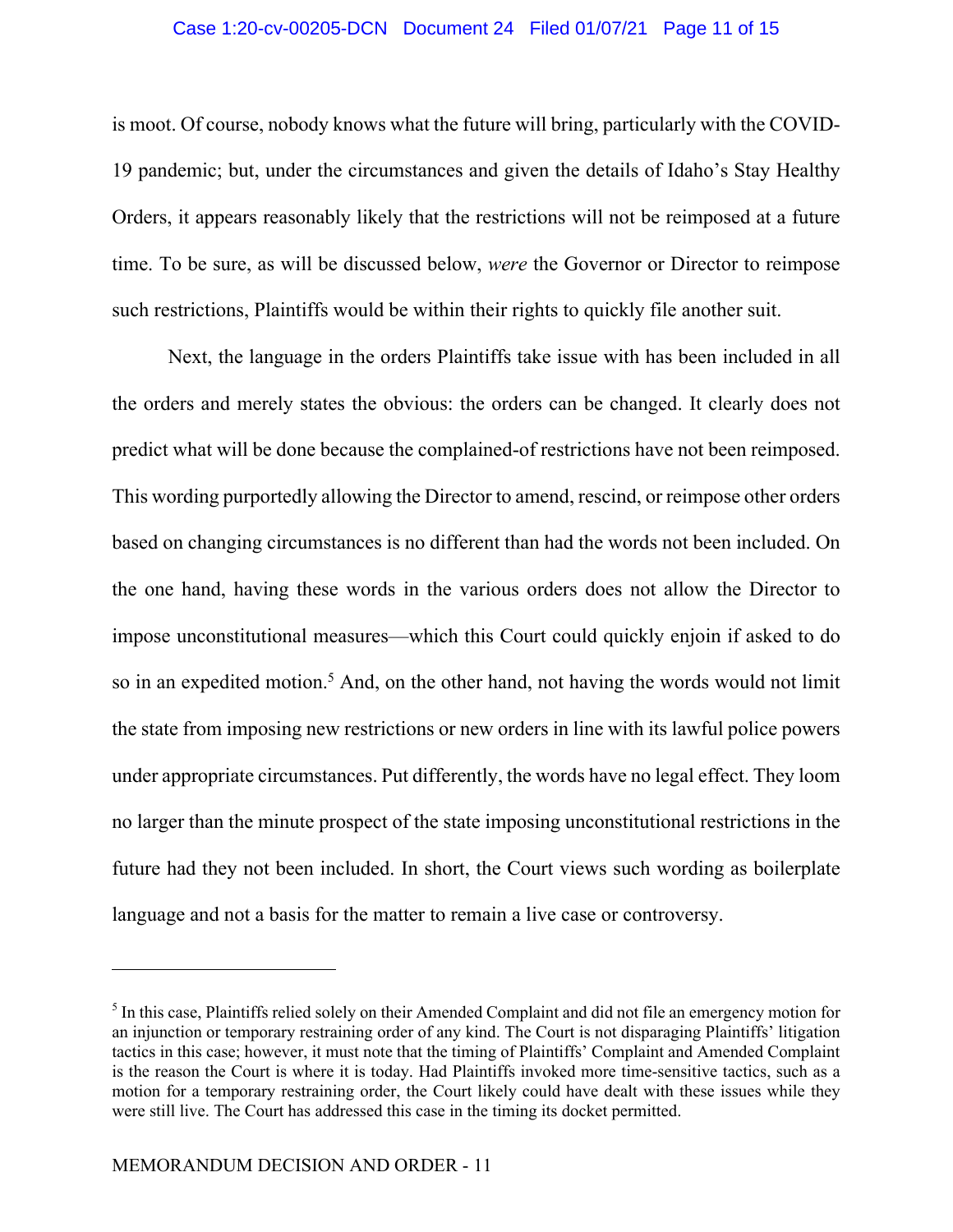## Case 1:20-cv-00205-DCN Document 24 Filed 01/07/21 Page 11 of 15

is moot. Of course, nobody knows what the future will bring, particularly with the COVID-19 pandemic; but, under the circumstances and given the details of Idaho's Stay Healthy Orders, it appears reasonably likely that the restrictions will not be reimposed at a future time. To be sure, as will be discussed below, *were* the Governor or Director to reimpose such restrictions, Plaintiffs would be within their rights to quickly file another suit.

Next, the language in the orders Plaintiffs take issue with has been included in all the orders and merely states the obvious: the orders can be changed. It clearly does not predict what will be done because the complained-of restrictions have not been reimposed. This wording purportedly allowing the Director to amend, rescind, or reimpose other orders based on changing circumstances is no different than had the words not been included. On the one hand, having these words in the various orders does not allow the Director to impose unconstitutional measures—which this Court could quickly enjoin if asked to do so in an expedited motion.<sup>5</sup> And, on the other hand, not having the words would not limit the state from imposing new restrictions or new orders in line with its lawful police powers under appropriate circumstances. Put differently, the words have no legal effect. They loom no larger than the minute prospect of the state imposing unconstitutional restrictions in the future had they not been included. In short, the Court views such wording as boilerplate language and not a basis for the matter to remain a live case or controversy.

<sup>&</sup>lt;sup>5</sup> In this case, Plaintiffs relied solely on their Amended Complaint and did not file an emergency motion for an injunction or temporary restraining order of any kind. The Court is not disparaging Plaintiffs' litigation tactics in this case; however, it must note that the timing of Plaintiffs' Complaint and Amended Complaint is the reason the Court is where it is today. Had Plaintiffs invoked more time-sensitive tactics, such as a motion for a temporary restraining order, the Court likely could have dealt with these issues while they were still live. The Court has addressed this case in the timing its docket permitted.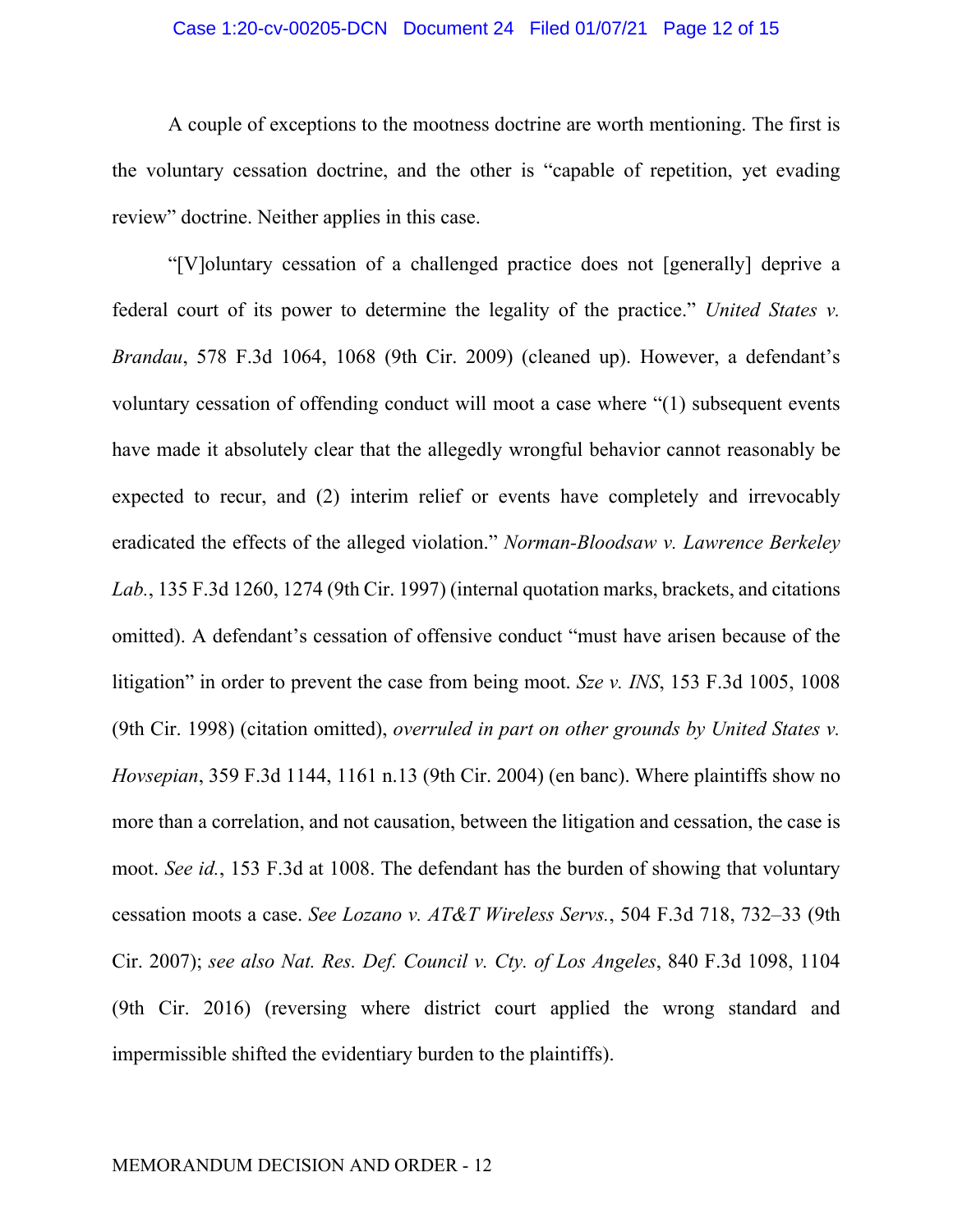## Case 1:20-cv-00205-DCN Document 24 Filed 01/07/21 Page 12 of 15

A couple of exceptions to the mootness doctrine are worth mentioning. The first is the voluntary cessation doctrine, and the other is "capable of repetition, yet evading review" doctrine. Neither applies in this case.

"[V]oluntary cessation of a challenged practice does not [generally] deprive a federal court of its power to determine the legality of the practice." *United States v. Brandau*, 578 F.3d 1064, 1068 (9th Cir. 2009) (cleaned up). However, a defendant's voluntary cessation of offending conduct will moot a case where "(1) subsequent events have made it absolutely clear that the allegedly wrongful behavior cannot reasonably be expected to recur, and (2) interim relief or events have completely and irrevocably eradicated the effects of the alleged violation." *Norman-Bloodsaw v. Lawrence Berkeley Lab.*, 135 F.3d 1260, 1274 (9th Cir. 1997) (internal quotation marks, brackets, and citations omitted). A defendant's cessation of offensive conduct "must have arisen because of the litigation" in order to prevent the case from being moot. *Sze v. INS*, 153 F.3d 1005, 1008 (9th Cir. 1998) (citation omitted), *overruled in part on other grounds by United States v. Hovsepian*, 359 F.3d 1144, 1161 n.13 (9th Cir. 2004) (en banc). Where plaintiffs show no more than a correlation, and not causation, between the litigation and cessation, the case is moot. *See id.*, 153 F.3d at 1008. The defendant has the burden of showing that voluntary cessation moots a case. *See Lozano v. AT&T Wireless Servs.*, 504 F.3d 718, 732–33 (9th Cir. 2007); *see also Nat. Res. Def. Council v. Cty. of Los Angeles*, 840 F.3d 1098, 1104 (9th Cir. 2016) (reversing where district court applied the wrong standard and impermissible shifted the evidentiary burden to the plaintiffs).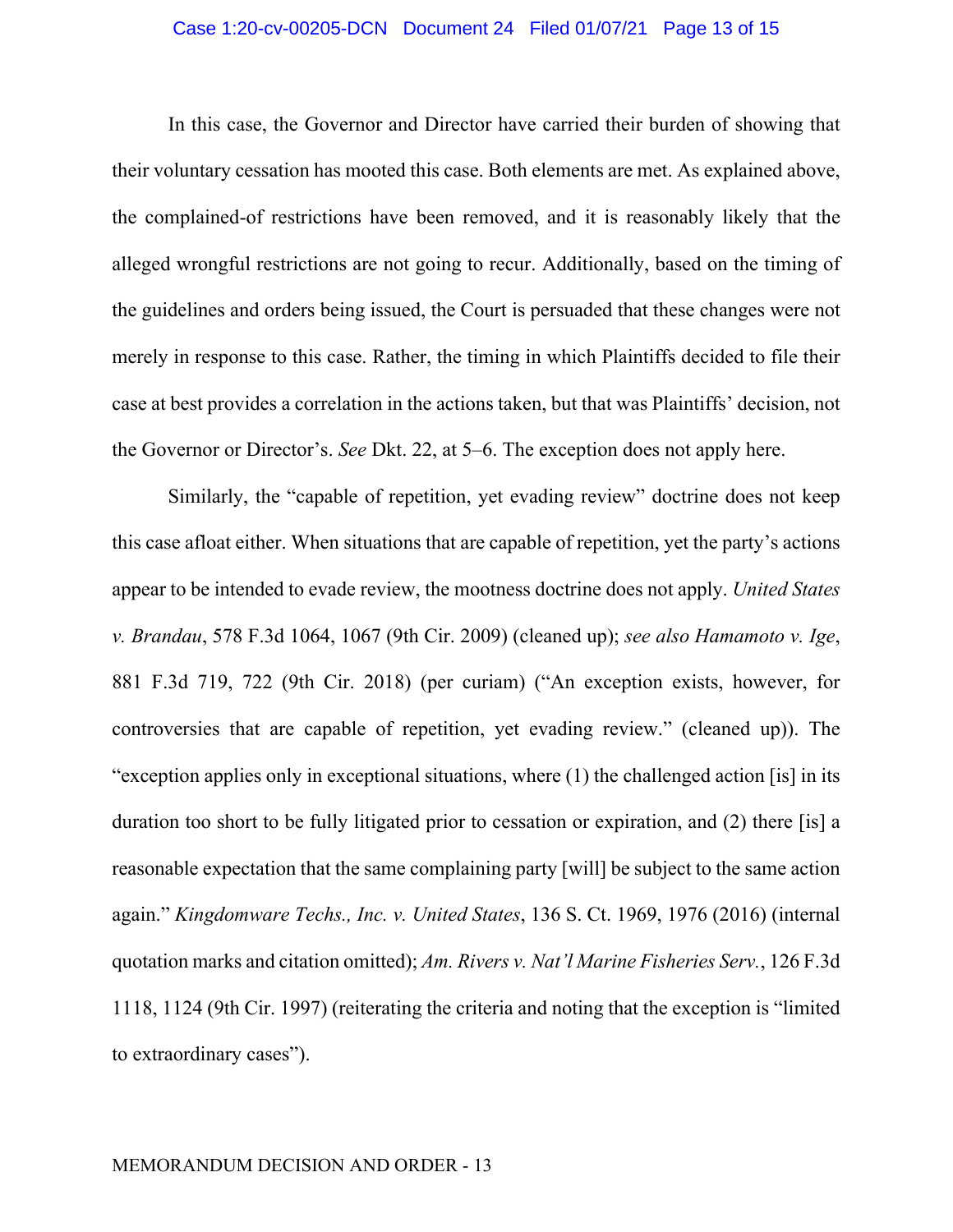### Case 1:20-cv-00205-DCN Document 24 Filed 01/07/21 Page 13 of 15

In this case, the Governor and Director have carried their burden of showing that their voluntary cessation has mooted this case. Both elements are met. As explained above, the complained-of restrictions have been removed, and it is reasonably likely that the alleged wrongful restrictions are not going to recur. Additionally, based on the timing of the guidelines and orders being issued, the Court is persuaded that these changes were not merely in response to this case. Rather, the timing in which Plaintiffs decided to file their case at best provides a correlation in the actions taken, but that was Plaintiffs' decision, not the Governor or Director's. *See* Dkt. 22, at 5–6. The exception does not apply here.

Similarly, the "capable of repetition, yet evading review" doctrine does not keep this case afloat either. When situations that are capable of repetition, yet the party's actions appear to be intended to evade review, the mootness doctrine does not apply. *United States v. Brandau*, 578 F.3d 1064, 1067 (9th Cir. 2009) (cleaned up); *see also Hamamoto v. Ige*, 881 F.3d 719, 722 (9th Cir. 2018) (per curiam) ("An exception exists, however, for controversies that are capable of repetition, yet evading review." (cleaned up)). The "exception applies only in exceptional situations, where (1) the challenged action [is] in its duration too short to be fully litigated prior to cessation or expiration, and (2) there [is] a reasonable expectation that the same complaining party [will] be subject to the same action again." *Kingdomware Techs., Inc. v. United States*, 136 S. Ct. 1969, 1976 (2016) (internal quotation marks and citation omitted); *Am. Rivers v. Nat'l Marine Fisheries Serv.*, 126 F.3d 1118, 1124 (9th Cir. 1997) (reiterating the criteria and noting that the exception is "limited to extraordinary cases").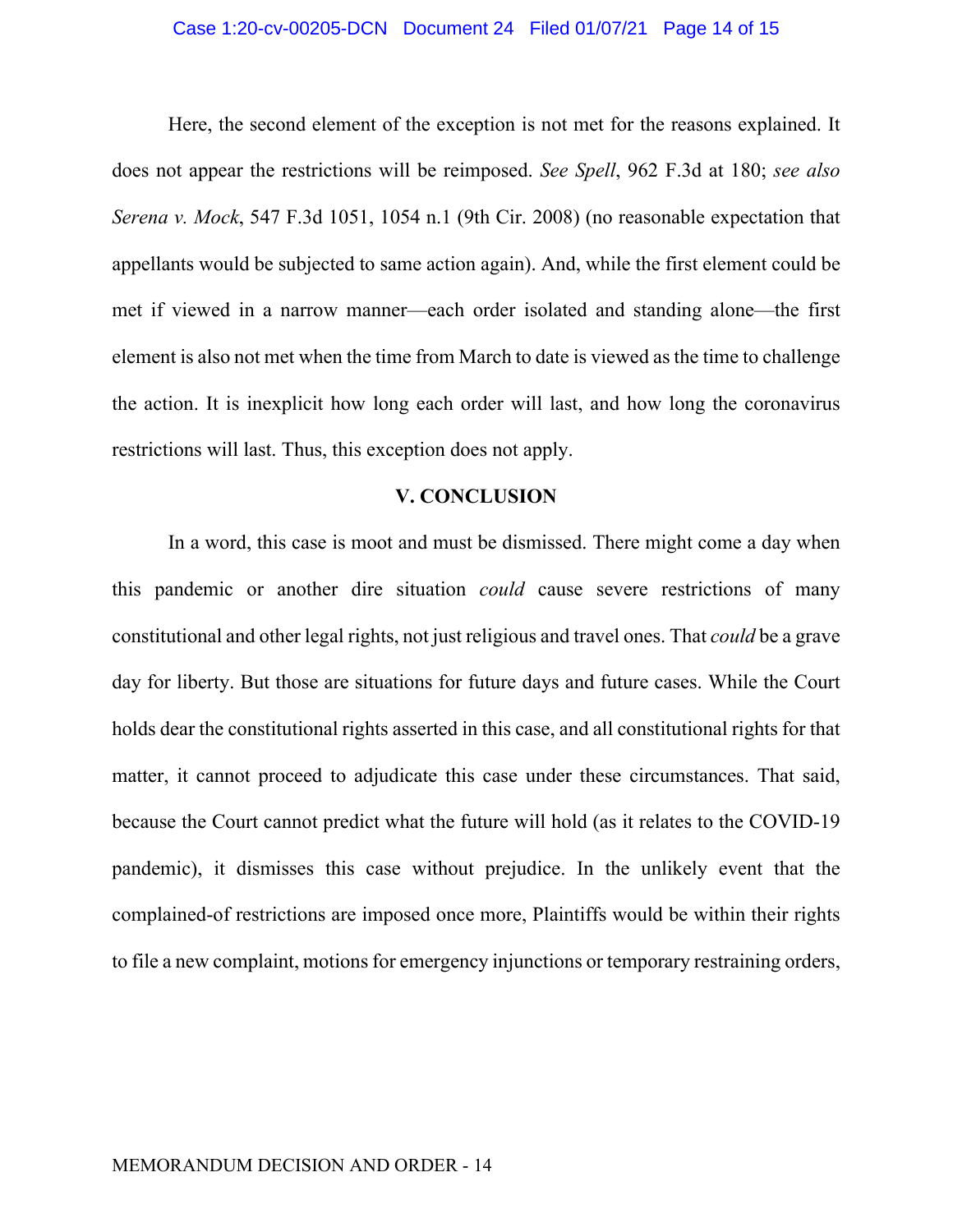### Case 1:20-cv-00205-DCN Document 24 Filed 01/07/21 Page 14 of 15

Here, the second element of the exception is not met for the reasons explained. It does not appear the restrictions will be reimposed. *See Spell*, 962 F.3d at 180; *see also Serena v. Mock*, 547 F.3d 1051, 1054 n.1 (9th Cir. 2008) (no reasonable expectation that appellants would be subjected to same action again). And, while the first element could be met if viewed in a narrow manner—each order isolated and standing alone—the first element is also not met when the time from March to date is viewed as the time to challenge the action. It is inexplicit how long each order will last, and how long the coronavirus restrictions will last. Thus, this exception does not apply.

## **V. CONCLUSION**

In a word, this case is moot and must be dismissed. There might come a day when this pandemic or another dire situation *could* cause severe restrictions of many constitutional and other legal rights, not just religious and travel ones. That *could* be a grave day for liberty. But those are situations for future days and future cases. While the Court holds dear the constitutional rights asserted in this case, and all constitutional rights for that matter, it cannot proceed to adjudicate this case under these circumstances. That said, because the Court cannot predict what the future will hold (as it relates to the COVID-19 pandemic), it dismisses this case without prejudice. In the unlikely event that the complained-of restrictions are imposed once more, Plaintiffs would be within their rights to file a new complaint, motions for emergency injunctions or temporary restraining orders,